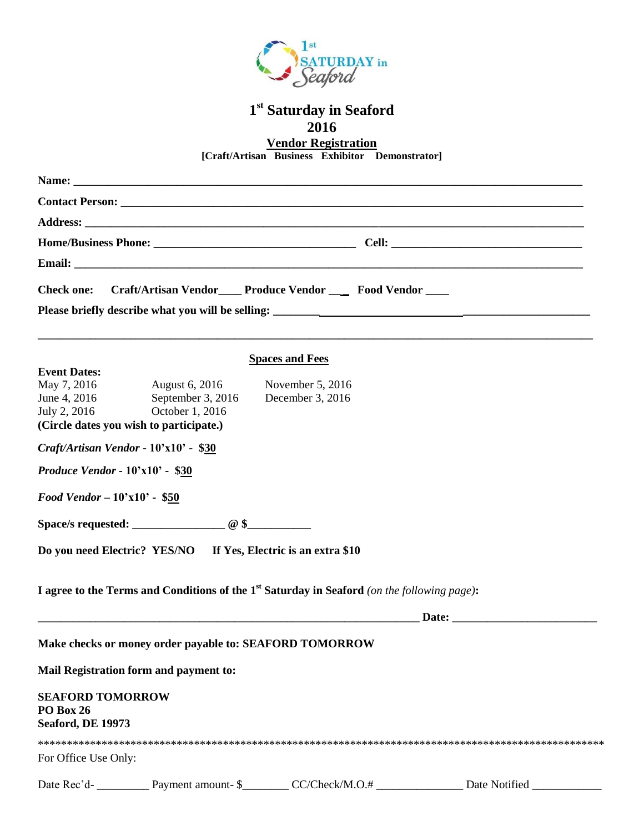

# **1 st Saturday in Seaford 2016**

**Vendor Registration**

**[Craft/Artisan Business Exhibitor Demonstrator]**

| <b>Check one:</b>                                                                             |                   | Craft/Artisan Vendor___ Produce Vendor ___ Food Vendor ___                                                            |  |
|-----------------------------------------------------------------------------------------------|-------------------|-----------------------------------------------------------------------------------------------------------------------|--|
|                                                                                               |                   | <b>Spaces and Fees</b>                                                                                                |  |
| <b>Event Dates:</b>                                                                           |                   |                                                                                                                       |  |
| May 7, 2016                                                                                   | August 6, 2016    | November 5, 2016                                                                                                      |  |
| June 4, 2016                                                                                  | September 3, 2016 | December 3, 2016                                                                                                      |  |
| July 2, 2016<br>(Circle dates you wish to participate.)                                       | October 1, 2016   |                                                                                                                       |  |
|                                                                                               |                   |                                                                                                                       |  |
| Craft/Artisan Vendor - 10'x10' - \$30                                                         |                   |                                                                                                                       |  |
| Produce Vendor - $10'x10'$ - \$30                                                             |                   |                                                                                                                       |  |
| <b>Food Vendor - <math>10'x10'</math> - \$50</b>                                              |                   |                                                                                                                       |  |
|                                                                                               |                   |                                                                                                                       |  |
| Do you need Electric? YES/NO If Yes, Electric is an extra \$10                                |                   |                                                                                                                       |  |
| I agree to the Terms and Conditions of the $1st$ Saturday in Seaford (on the following page): |                   |                                                                                                                       |  |
|                                                                                               |                   | <u> 1989 - Johann Stoff, deutscher Stoff, der Stoff, der Stoff, der Stoff, der Stoff, der Stoff, der Stoff, der S</u> |  |
| Make checks or money order payable to: SEAFORD TOMORROW                                       |                   |                                                                                                                       |  |
| Mail Registration form and payment to:                                                        |                   |                                                                                                                       |  |
| <b>SEAFORD TOMORROW</b><br>PO Box 26<br><b>Seaford, DE 19973</b>                              |                   |                                                                                                                       |  |
| For Office Use Only:                                                                          |                   |                                                                                                                       |  |
|                                                                                               |                   |                                                                                                                       |  |